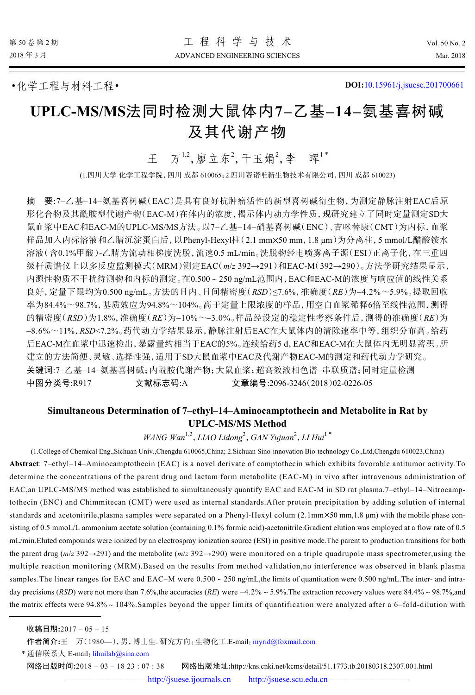•化学工程与材料工程• **DOI:**[10.15961/j.jsuese.201700661](http://dx.doi.org/10.15961/j.jsuese.201700661)

# **UPLC-MS/MS**法同时检测大鼠体内**7–**乙基**–14–**氨基喜树碱 及其代谢产物

王 万<sup>1,2</sup>,廖立东<sup>2</sup>,干玉娟<sup>2</sup>,李 晖<sup>1\*</sup>

(1.四川大学 化学工程学院,四川 成都 610065;2.四川赛诺唯新生物技术有限公司,四川 成都 610023)

样品加入内标溶液和乙腈沉淀蛋白后, 以Phenyl-Hexyl柱(2.1 mm×50 mm, 1.8 μm)为分离柱, 5 mmol/L醋酸铵水 摘 要:7–乙基–14–氨基喜树碱(EAC)是具有良好抗肿瘤活性的新型喜树碱衍生物,为测定静脉注射EAC后原 形化合物及其酰胺型代谢产物(EAC-M)在体内的浓度,揭示体内动力学性质,现研究建立了同时定量测定SD大 鼠血浆中EAC和EAC-M的UPLC-MS/MS方法。以7–乙基–14–硝基喜树碱(ENC)、吉咪替康(CMT)为内标,血浆 溶液(含0.1%甲酸)-乙腈为流动相梯度洗脱,流速0.5 mL/min。洗脱物经电喷雾离子源(ESI)正离子化,在三重四 级杆质谱仪上以多反应监测模式(MRM)测定EAC(*m*/*z* 392→291)和EAC-M(392→290)。方法学研究结果显示, 内源性物质不干扰待测物和内标的测定。在0.500~250 ng/mL范围内,EAC和EAC-M的浓度与响应值的线性关系 良好,定量下限均为0.500 ng/mL。方法的日内、日间精密度(*RSD*)≤7.6%,准确度(*RE*)为–4.2%~5.9%。提取回收 率为84.4%~98.7%,基质效应为94.8%~104%。高于定量上限浓度的样品,用空白血浆稀释6倍至线性范围,测得 的精密度(*RSD*)为1.8%,准确度(*RE*)为–10%~–3.0%。样品经设定的稳定性考察条件后,测得的准确度(*RE*)为 –8.6%~11%,*RSD*<7.2%。药代动力学结果显示,静脉注射后EAC在大鼠体内的清除速率中等,组织分布高。给药 后EAC-M在血浆中迅速检出,暴露量约相当于EAC的5%。连续给药5 d,EAC和EAC-M在大鼠体内无明显蓄积。所 建立的方法简便、灵敏、选择性强,适用于SD大鼠血浆中EAC及代谢产物EAC-M的测定和药代动力学研究。 关键词:7–乙基–14–氨基喜树碱;内酰胺代谢产物;大鼠血浆;超高效液相色谱–串联质谱;同时定量检测 中图分类号:R917 文献标志码:A 文章编号:2096-3246(2018)02-0226-05

## **Simultaneous Determination of 7–ethyl–14–Aminocamptothecin and Metabolite in Rat by UPLC-MS/MS Method**

WANG Wan<sup>1,2</sup>, LIAO Lidong<sup>2</sup>, GAN Yujuan<sup>2</sup>, LI Hui<sup>1</sup>\*

(1.College of Chemical Eng.,Sichuan Univ.,Chengdu 610065,China; 2.Sichuan Sino-innovation Bio-technology Co.,Ltd,Chengdu 610023,China) standards and acetonitrile,plasma samples were separated on a Phenyl-Hexyl colum (2.1mm×50 mm,1.8 μm) with the mobile phase con-**Abstract**: 7–ethyl–14–Aminocamptothecin (EAC) is a novel derivate of camptothecin which exhibits favorable antitumor activity.To determine the concentrations of the parent drug and lactam form metabolite (EAC-M) in vivo after intravenous administration of EAC,an UPLC-MS/MS method was established to simultaneously quantify EAC and EAC-M in SD rat plasma.7–ethyl–14–Nitrocamptothecin (ENC) and Chimmitecan (CMT) were used as internal standards.After protein precipitation by adding solution of internal sisting of 0.5 mmoL/L ammonium acetate solution (containing 0.1% formic acid)-acetonitrile.Gradient elution was employed at a flow rate of 0.5 mL/min.Eluted compounds were ionized by an electrospray ionization source (ESI) in positive mode.The parent to production transitions for both the parent drug ( $m/z$  392 $\rightarrow$ 291) and the metabolite ( $m/z$  392 $\rightarrow$ 290) were monitored on a triple quadrupole mass spectrometer, using the multiple reaction monitoring (MRM).Based on the results from method validation,no interference was observed in blank plasma samples. The linear ranges for EAC and EAC–M were  $0.500 \sim 250$  ng/mL, the limits of quantitation were  $0.500$  ng/mL. The inter- and intraday precisions (*RSD*) were not more than 7.6%,the accuracies (*RE*) were  $-4.2%$  ~ 5.9%. The extraction recovery values were 84.4% ~ 98.7%,and the matrix effects were  $94.8\% \sim 104\%$ . Samples beyond the upper limits of quantification were analyzed after a 6-fold-dilution with

\* 通信联系人 E-mail: [lihuilab@sina.com](mailto:lihuilab@sina.com)

网络出版时间**:**2018 – 03 – 18 23 : 07 : 38 网络出版地址**:**http://kns.cnki.net/kcms/detail/51.1773.tb.20180318.2307.001.html

— <http://jsuese.ijournals.cn> <http://jsuese.scu.edu.cn> —

收稿日期**:**2017 – 05 – 15

作者简介**:**王 万(1980—),男,博士生. 研究方向:生物化工.E-mail:[myrid@foxmail.com](mailto:myrid@foxmail.com)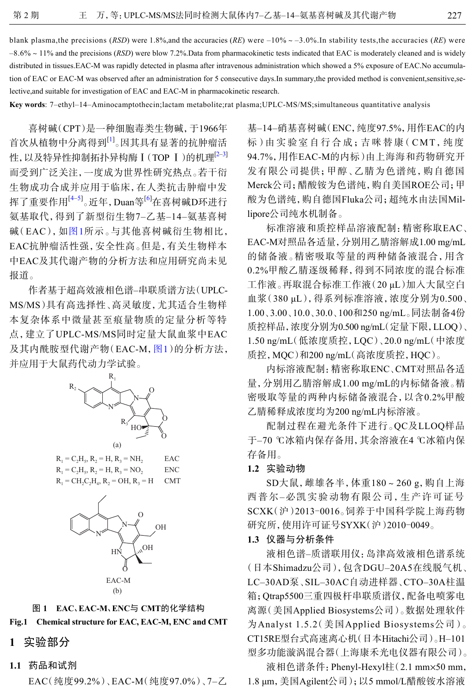tion of EAC or EAC-M was observed after an administration for 5 consecutive days.In summary,the provided method is convenient,sensitive,se-

blank plasma, the precisions (*RSD*) were 1.8%, and the accuracies (*RE*) were  $-10\% \sim -3.0\%$ . In stability tests, the accuracies (*RE*) were –8.6%~11% and the precisions (*RSD*) were blow 7.2%.Data from pharmacokinetic tests indicated that EAC is moderately cleaned and is widely distributed in tissues.EAC-M was rapidly detected in plasma after intravenous administration which showed a 5% exposure of EAC.No accumula-

lective,and suitable for investigation of EAC and EAC-M in pharmacokinetic research.

**Key words**: 7–ethyl–14–Aminocamptothecin;lactam metabolite;rat plasma;UPLC-MS/MS;simultaneous quantitative analysis

喜树碱(CPT)是一种细胞毒类生物碱,于1966年 首次从植物中分离得到<sup>[\[1\]](#page-4-0)</sup>。因其具有显著的抗肿瘤活 性,以及特异性抑制拓扑异构酶 I (TOP I)的机理<sup>[\[2–](#page-4-1)[3\]](#page-4-2)</sup> 而受到广泛关注,一度成为世界性研究热点。若干衍 生物成功合成并应用于临床,在人类抗击肿瘤中发 挥了重要作用<sup>[4–5]</sup>。近年,Duan等<sup>[6]</sup>在喜树碱D环进行 氨基取代,得[到了](#page-1-0)新型衍生物7–乙基–14–氨基喜树 碱(EAC),如[图](#page-1-0)[1](#page-1-0)所示。与其他喜树碱衍生物相比, EAC抗肿瘤活性强,安全性高。但是,有关生物样本 中EAC及其代谢产物的分析方法和应用研究尚未见 报道。

作者基于超高效液相色谱–串联质谱方法(UPLC-MS/MS)具有高选择性、高灵敏度,尤其适合生物样 本复杂体系中微量甚至痕量物质的定量分析等特 点,建立了UPLC-MS/MS同时定[量大鼠](#page-1-0)血浆中EAC 及其内酰胺型代谢产物(EAC-M, [图](#page-1-0)[1](#page-1-0))的分析方法, 并应用于大鼠药代动力学试验。

<span id="page-1-0"></span>

 $R_1 = C_2H_5$ ,  $R_2 = H$ ,  $R_3 = NH_2$  EAC  $R_1 = C_2H_5$ ,  $R_2 = H$ ,  $R_3 = NO_2$  ENC  $R_1 = CH_2C_2H_4$ ,  $R_2 = OH$ ,  $R_3$  $CMT$ 



#### 图 **1 EAC**、**EAC-M**、**ENC**与 **CMT**的化学结构

#### **Fig.1 Chemical structure for EAC, EAC-M, ENC and CMT**

- **1** 实验部分
- **1.1** 药品和试剂

EAC(纯度99.2%)、EAC-M(纯度97.0%)、7–乙

基–14–硝基喜树碱(ENC,纯度97.5%,用作EAC的内 标)由实验室自行合成;吉咪替康( CMT,纯度 94.7%,用作EAC-M的内标)由上海海和药物研究开 发有限公司提供;甲醇、乙腈为色谱纯,购自德国 Merck公司;醋酸铵为色谱纯,购自美国ROE公司;甲 酸为色谱纯,购自德国Fluka公司;超纯水由法国Millipore公司纯水机制备。

标准溶液和质控样品溶液配制:精密称取EAC、 EAC-M对照品各适量,分别用乙腈溶解成1.00 mg/mL 的储备液。精密吸取等量的两种储备液混合,用含 0.2%甲酸乙腈逐级稀释,得到不同浓度的混合标准 工作液。再取混合标准工作液(20 μL)加入大鼠空白 血浆(380 μL),得系列标准溶液,浓度分别为0.500、 1.00、3.00、10.0、30.0、100和250 ng/mL。同法制备4份 质控样品,浓度分别为0.500 ng/mL(定量下限,LLOQ)、 1.50 ng/mL(低浓度质控,LQC)、20.0 ng/mL(中浓度 质控,MQC)和200 ng/mL(高浓度质控,HQC)。

内标溶液配制:精密称取ENC、CMT对照品各适 量,分别用乙腈溶解成1.00 mg/mL的内标储备液。精 密吸取等量的两种内标储备液混合,以含0.2%甲酸 乙腈稀释成浓度均为200 ng/mL内标溶液。

配制过程在避光条件下进行。QC及LLOQ样品 于–70 ℃冰箱内保存备用,其余溶液在4 ℃冰箱内保 存备用。

#### **1.2** 实验动物

SD大鼠,雌雄各半,体重180~260 g,购自上海 西普尔–必凯实验动物有限公司,生产许可证号 SCXK(沪)2013-0016。饲养于中国科学院上海药物 研究所,使用许可证号SYXK(沪)2010-0049。

#### **1.3** 仪器与分析条件

液相色谱–质谱联用仪:岛津高效液相色谱系统 (日本Shimadzu公司),包含DGU–20A5在线脱气机、 LC–30AD泵、SIL–30AC自动进样器、CTO–30A柱温 箱;Qtrap5500三重四极杆串联质谱仪,配备电喷雾电 离源(美国Applied Biosystems公司)。数据处理软件 为Analyst 1.5.2(美国Applied Biosystems公司)。 CT15RE型台式高速离心机(日本Hitachi公司)。H–101 型多功能漩涡混合器(上海康禾光电仪器有限公司)。

液相色谱条件:Phenyl-Hexyl柱(2.1 mm × 50 mm, 1.8 μm,美国Agilent公司);以5 mmol/L醋酸铵水溶液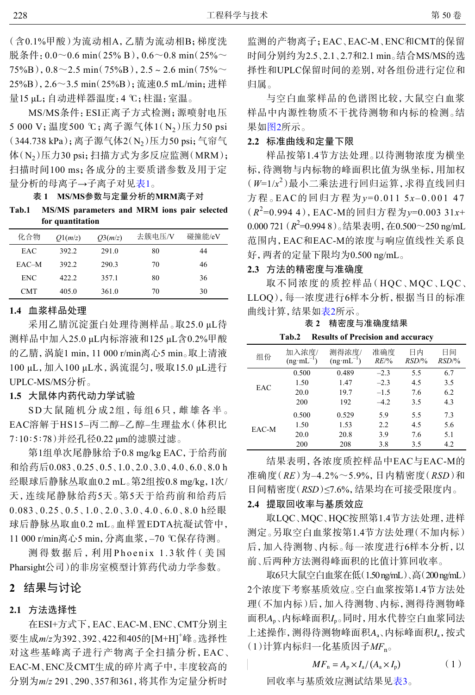(含0.1%甲酸)为流动相A,乙腈为流动相B;梯度洗 脱条件:  $0.0 \sim 0.6$  min(25% B),  $0.6 \sim 0.8$  min(25%  $\sim$  $75\%B$ ),  $0.8\sim$  2.5 min( $75\%B$ ),  $2.5\sim$  2.6 min( $75\%$ 25%B),2.6~3.5 min(25%B);流速0.5 mL/min;进样 量15 μL;自动进样器温度:4 ℃;柱温:室温。

MS/MS条件:ESI正离子方式检测;源喷射电压 5 000 V; 温度500 ℃; 离子源气体1(N<sub>2</sub>)压力50 psi (344.738 kPa);离子源气体2(N<sub>2</sub>)压力50 psi;气帘气 体(N2)压力30 psi;扫描方式为多反应监测(MRM); 扫描时间100 ms;各成分的主要质谱参数及用于定 量分析的母离子→子离子对见表1。

表 **1 MS/MS**参数与定量分析的**MRM**离子对

**Tab.1 MS/MS parameters and MRM ions pair selected for quantitation**

| 化合物   | O1(m/z) | O(3(m/z)) | 去簇电压/V | 碰撞能/eV |
|-------|---------|-----------|--------|--------|
| EAC   | 392.2   | 291.0     | 80     | 44     |
| EAC-M | 392.2   | 290.3     | 70     | 46     |
| ENC.  | 422.2   | 357.1     | 80     | 36     |
| CMT   | 405.0   | 361.0     | 70     | 30     |

#### **1.4** 血浆样品处理

采用乙腈沉淀蛋白处理待测样品。取25.0 μL待 测样品中加入25.0 μL内标溶液和125 μL含0.2%甲酸 的乙腈,涡旋1 min,11 000 r/min离心5 min。取上清液 100 μL,加入100 μL水,涡流混匀,吸取15.0 μL进行 UPLC-MS/MS分析。

#### **1.5** 大鼠体内药代动力学试验

SD大鼠随机分成2组,每组6只,雌雄各半。 EAC溶解于HS15–丙二醇–乙醇–生理盐水(体积比 7∶10∶5∶78)并经孔径0.22 μm的滤膜过滤。

第1组单次尾静脉给予0.8 mg/kg EAC,于给药前 和给药后0.083、0.25、0.5、1.0、2.0、3.0、4.0、6.0、8.0 h 经眼球后静脉丛取血0.2 mL。第2组按0.8 mg/kg,1次/ 天,连续尾静脉给药5天。第5天于给药前和给药后 0.083、0.25、0.5、1.0、2.0、3.0、4.0、6.0、8.0 h经眼 球后静脉丛取血0.2 mL。血样置EDTA抗凝试管中, 11 000 r/min离心5 min,分离血浆,–70 ℃保存待测。

测得数据后,利用 Phoenix 1.3软件(美国 Pharsight公司)的非房室模型计算药代动力学参数。

## **2** 结果与讨论

#### **2.1** 方法选择性

在ESI+方式下,EAC、EAC-M、ENC、CMT分别主 要生成*m*/*z*为392、392、422和405的[M+H]+峰。选择性 对这些基峰离子进行产物离子全扫描分析,EAC、 EAC-M、ENC及CMT生成的碎片离子中,丰度较高的 分别为*m*/*z* 291、290、357和361,将其作为定量分析时

监测的产物离子;EAC、EAC-M、ENC和CMT的保留 时间分别约为2.5、2.1、2.7和2.1 min。结合MS/MS的选 择性和UPLC保留时间的差别,对各组份进行定位和 归属。

与空白血浆样品的色谱图比较,大鼠空白血浆 样品中内源性物质不干扰待测物和内标的检测。结 果如[图](#page-3-0)[2](#page-3-0)所示。

#### **2.2** 标准曲线和定量下限

样品按第1.4节方法处理。以待测物浓度为横坐 标,待测物与内标物的峰面积比值为纵坐标,用加权 (*W*=1/*x* 2 )最小二乘法进行回归运算,求得直线回归 方程。EAC的回归方程为*y*=0.011 5*x*–0.001 47 (*R* 2 =0.994 4),EAC-M的回归方程为*y*=0.003 31*x*+ 0.000 721 (*R* 2 =0.994 8)。结果表明,在0.500~250 ng/mL 范围内,EAC和EAC-M的浓度与响应值线性关系良 好,两者的定量下限均为0.500 ng/mL。

### **2.3** 方法的精密度与准确度

取不同浓度的质控样品(HQC、MQC、LQC、 LLOQ),每一浓度进行6样本分析,根据当日的标准 曲线计算,结果如表2所示。

表 **2** 精密度与准确度结果

**Tab.2 Results of Precision and accuracy**

| 组份    | 加入浓度/<br>$(ng·mL^{-1})$ | 测得浓度/<br>$(ng·mL^{-1})$ | 准确度<br>$RE$ /% | 日内<br>RSD/% | 日间<br>RSD/% |
|-------|-------------------------|-------------------------|----------------|-------------|-------------|
| EAC   | 0.500                   | 0.489                   | $-2.3$         | 5.5         | 6.7         |
|       | 1.50                    | 1.47                    | $-2.3$         | 4.5         | 3.5         |
|       | 20.0                    | 19.7                    | $-1.5$         | 7.6         | 6.2         |
|       | 200                     | 192                     | $-4.2$         | 3.5         | 4.3         |
| EAC-M | 0.500                   | 0.529                   | 5.9            | 5.5         | 7.3         |
|       | 1.50                    | 1.53                    | 2.2            | 4.5         | 5.6         |
|       | 20.0                    | 20.8                    | 3.9            | 7.6         | 5.1         |
|       | 200                     | 208                     | 3.8            | 3.5         | 4.2         |

结果表明,各浓度质控样品中EAC与EAC-M的 准确度(*RE*)为–4.2%~5.9%,日内精密度(*RSD*)和 日间精密度(*RSD*)≤7.6%,结果均在可接受限度内。

#### **2.4** 提取回收率与基质效应

取LQC、MQC、HQC按照第1.4节方法处理,进样 测定。另取空白血浆按第1.4节方法处理(不加内标) 后,加入待测物、内标。每一浓度进行6样本分析,以 前、后两种方法测得峰面积的比值计算回收率。

面积Ap、内标峰面积*I*p。同时,用水代替空白血浆同法 上述操作, 测得待测物峰面积A<sub>a</sub>、内标峰面积*I*<sub>a</sub>, 按式 取6只大鼠空白血浆在低(1.50 ng/mL)、高(200 ng/mL) 2个浓度下考察基质效应。空白血浆按第1.4节方法处 理(不加内标)后,加入待测物、内标,测得待测物峰 (1)计算内标归一化基质因子*MF*n。

$$
MF_{\rm n} = A_{\rm p} \times I_{\rm a} / (A_{\rm a} \times I_{\rm p}) \tag{1}
$$

回收率与基质效应测试结果见表3。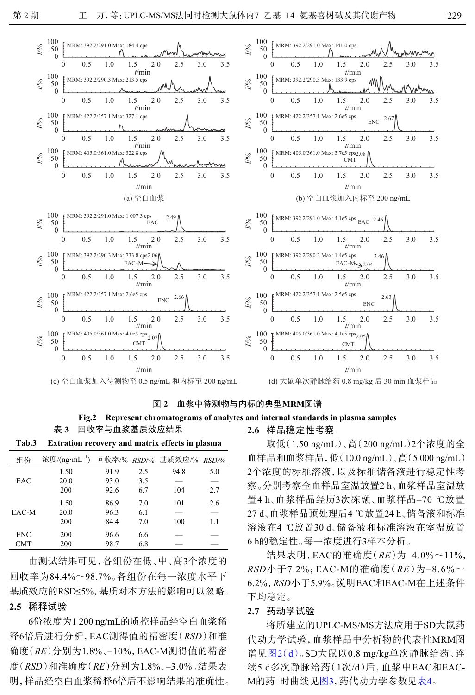<span id="page-3-0"></span>

图 **2** 血浆中待测物与内标的典型**MRM**图谱

## **Fig.2 Represent chromatograms of analytes and internal standards in plasma samples**

表 **3** 回收率与血浆基质效应结果 **Tab.3 Extration recovery and matrix effects in plasma**

| 组份    | 浓度/(ng·mL <sup>-1</sup> ) 回收率/% RSD/% 基质效应/% RSD/% |      |     |      |     |
|-------|----------------------------------------------------|------|-----|------|-----|
|       | 1.50                                               | 91.9 | 2.5 | 94.8 | 5.0 |
| EAC   | 20.0                                               | 93.0 | 3.5 |      | -   |
|       | 200                                                | 92.6 | 6.7 | 104  | 2.7 |
|       | 1.50                                               | 86.9 | 7.0 | 101  | 2.6 |
| EAC-M | 20.0                                               | 96.3 | 6.1 |      | -   |
|       | 200                                                | 84.4 | 7.0 | 100  | 1.1 |
| ENC   | 200                                                | 96.6 | 6.6 |      |     |
| CMT   | 200                                                | 98.7 | 6.8 |      |     |

由测试结果可见,各组份在低、中、高3个浓度的 回收率为84.4%~98.7%。各组份在每一浓度水平下 基质效应的RSD≤5%,基质对本方法的影响可以忽略。

## **2.5** 稀释试验

6份浓度为1 200 ng/mL的质控样品经空白血浆稀 释6倍后进行分析,EAC测得值的精密度(*RSD*)和准 确度(*RE*)分别为1.8%、–10%,EAC-M测得值的精密 度(*RSD*)和准确度(*RE*)分别为1.8%、–3.0%。结果表 明,样品经空白血浆稀释6倍后不影响结果的准确性。

#### **2.6** 样品稳定性考察

取低(1.50 ng/mL)、高(200 ng/mL)2个浓度的全 血样品和血浆样品,低(10.0 ng/mL)、高(5 000 ng/mL) 2个浓度的标准溶液,以及标准储备液进行稳定性考 察。分别考察全血样品室温放置2 h、血浆样品室温放 置4 h、血浆样品经历3次冻融、血浆样品–70 ℃放置 27 d、血浆样品预处理后4 ℃放置24 h、储备液和标准 溶液在4 ℃放置30 d、储备液和标准溶液在室温放置 6 h的稳定性。每一浓度进行3样本分析。

结果表明,EAC的准确度(*RE*)为–4.0%~11%, *RSD*小于7.2%;EAC-M的准确度(*RE*)为–8.6%~ 6.2%,*RSD*小于5.9%。说明EAC和EAC-M在上述条件 下均稳定。

#### **2.7** 药动学试验

将所建立的UPLC-MS/MS方法应用于SD大鼠药 代动力学试验,血浆样品中分析物的代表性MRM图 谱见[图](#page-3-0)[2](#page-3-0)[\(](#page-3-0)[d](#page-3-0)[\)](#page-3-0)。SD大鼠以0.8 mg/kg单次静脉给药、连 续5 d多次静脉给药(1次/d)后,血浆中EAC和EAC-M的药–时曲线[见图](#page-4-3)[3](#page-4-3),药代动力学参数见[表](#page-4-4)[4](#page-4-4)。